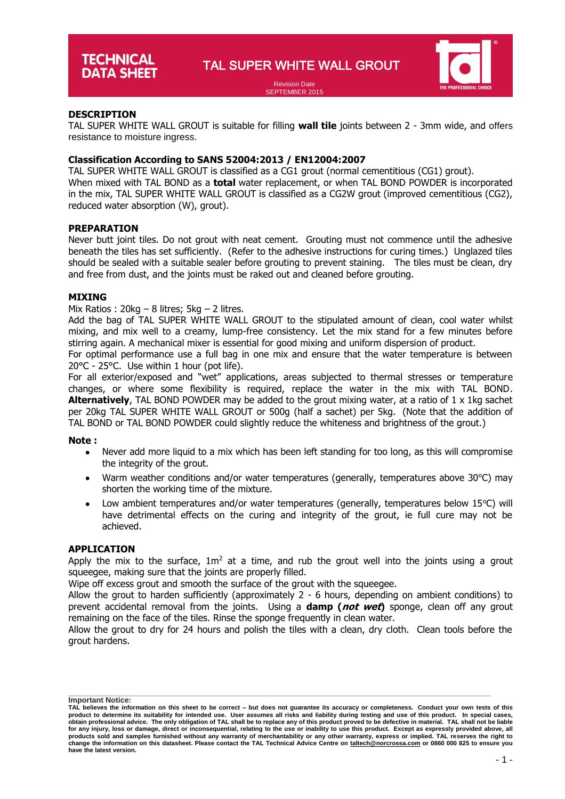

#### Revision Date SEPTEMBER 2015

# **DESCRIPTION**

TAL SUPER WHITE WALL GROUT is suitable for filling **wall tile** joints between 2 - 3mm wide, and offers resistance to moisture ingress.

# **Classification According to SANS 52004:2013 / EN12004:2007**

TAL SUPER WHITE WALL GROUT is classified as a CG1 grout (normal cementitious (CG1) grout). When mixed with TAL BOND as a **total** water replacement, or when TAL BOND POWDER is incorporated in the mix, TAL SUPER WHITE WALL GROUT is classified as a CG2W grout (improved cementitious (CG2), reduced water absorption (W), grout).

#### **PREPARATION**

Never butt joint tiles. Do not grout with neat cement. Grouting must not commence until the adhesive beneath the tiles has set sufficiently. (Refer to the adhesive instructions for curing times.) Unglazed tiles should be sealed with a suitable sealer before grouting to prevent staining. The tiles must be clean, dry and free from dust, and the joints must be raked out and cleaned before grouting.

# **MIXING**

#### Mix Ratios :  $20kg - 8$  litres;  $5kg - 2$  litres.

Add the bag of TAL SUPER WHITE WALL GROUT to the stipulated amount of clean, cool water whilst mixing, and mix well to a creamy, lump-free consistency. Let the mix stand for a few minutes before stirring again. A mechanical mixer is essential for good mixing and uniform dispersion of product.

For optimal performance use a full bag in one mix and ensure that the water temperature is between 20°C - 25°C. Use within 1 hour (pot life).

For all exterior/exposed and "wet" applications, areas subjected to thermal stresses or temperature changes, or where some flexibility is required, replace the water in the mix with TAL BOND. **Alternatively**, TAL BOND POWDER may be added to the grout mixing water, at a ratio of 1 x 1kg sachet per 20kg TAL SUPER WHITE WALL GROUT or 500g (half a sachet) per 5kg. (Note that the addition of TAL BOND or TAL BOND POWDER could slightly reduce the whiteness and brightness of the grout.)

#### **Note :**

- Never add more liquid to a mix which has been left standing for too long, as this will compromise the integrity of the grout.
- Warm weather conditions and/or water temperatures (generally, temperatures above  $30^{\circ}$ C) may shorten the working time of the mixture.
- Low ambient temperatures and/or water temperatures (generally, temperatures below  $15^{\circ}$ C) will have detrimental effects on the curing and integrity of the grout, ie full cure may not be achieved.

#### **APPLICATION**

Apply the mix to the surface,  $1m^2$  at a time, and rub the grout well into the joints using a grout squeegee, making sure that the joints are properly filled.

Wipe off excess grout and smooth the surface of the grout with the squeegee.

Allow the grout to harden sufficiently (approximately 2 - 6 hours, depending on ambient conditions) to prevent accidental removal from the joints. Using a **damp (not wet)** sponge, clean off any grout remaining on the face of the tiles. Rinse the sponge frequently in clean water.

Allow the grout to dry for 24 hours and polish the tiles with a clean, dry cloth. Clean tools before the grout hardens.

**\_\_\_\_\_\_\_\_\_\_\_\_\_\_\_\_\_\_\_\_\_\_\_\_\_\_\_\_\_\_\_\_\_\_\_\_\_\_\_\_\_\_\_\_\_\_\_\_\_\_\_\_\_\_\_\_\_\_\_\_\_\_\_\_\_\_\_\_\_\_\_\_\_\_\_\_\_\_\_\_\_\_\_\_\_\_\_\_\_\_\_\_\_\_\_\_\_\_\_\_ Important Notice:**

**TAL believes the information on this sheet to be correct – but does not guarantee its accuracy or completeness. Conduct your own tests of this**  product to determine its suitability for intended use. User assumes all risks and liability during testing and use of this product. In special cases,<br>obtain professional advice. The only obligation of TAL shall be to rep **for any injury, loss or damage, direct or inconsequential, relating to the use or inability to use this product. Except as expressly provided above, all**  products sold and samples furnished without any warranty of merchantability or any other warranty, express or implied. TAL reserves the right to<br>change the information on this datasheet. Please contact the TAL Technical Ad **have the latest version.**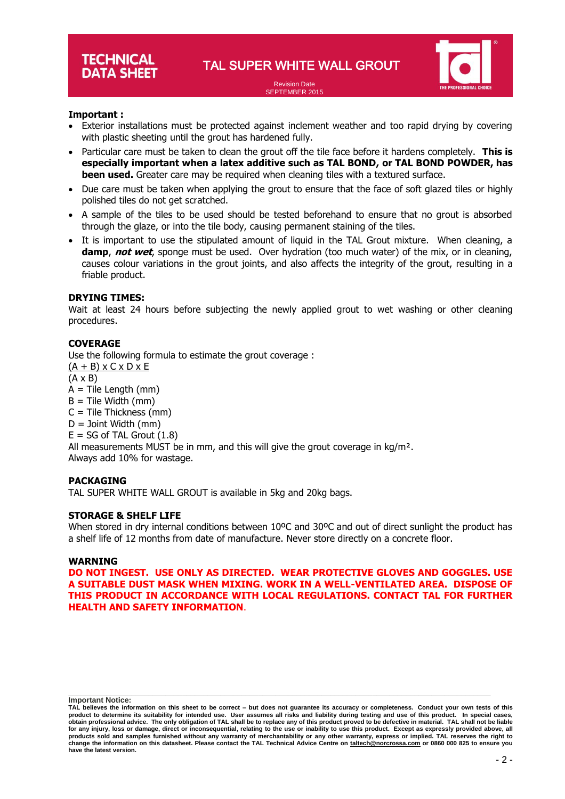Revision Date SEPTEMBER 2015



# **Important :**

- Exterior installations must be protected against inclement weather and too rapid drying by covering with plastic sheeting until the grout has hardened fully.
- Particular care must be taken to clean the grout off the tile face before it hardens completely. **This is especially important when a latex additive such as TAL BOND, or TAL BOND POWDER, has been used.** Greater care may be required when cleaning tiles with a textured surface.
- Due care must be taken when applying the grout to ensure that the face of soft glazed tiles or highly polished tiles do not get scratched.
- A sample of the tiles to be used should be tested beforehand to ensure that no grout is absorbed through the glaze, or into the tile body, causing permanent staining of the tiles.
- It is important to use the stipulated amount of liquid in the TAL Grout mixture. When cleaning, a **damp**, **not wet**, sponge must be used. Over hydration (too much water) of the mix, or in cleaning, causes colour variations in the grout joints, and also affects the integrity of the grout, resulting in a friable product.

# **DRYING TIMES:**

Wait at least 24 hours before subjecting the newly applied grout to wet washing or other cleaning procedures.

# **COVERAGE**

Use the following formula to estimate the grout coverage :  $(A + B)$  x C x D x E (A x B)  $A =$  Tile Length (mm)  $B =$  Tile Width (mm)  $C =$  Tile Thickness (mm)  $D =$  Joint Width (mm)  $E = SG$  of TAL Grout  $(1.8)$ All measurements MUST be in mm, and this will give the grout coverage in  $kg/m<sup>2</sup>$ . Always add 10% for wastage.

#### **PACKAGING**

TAL SUPER WHITE WALL GROUT is available in 5kg and 20kg bags.

# **STORAGE & SHELF LIFE**

When stored in dry internal conditions between 10°C and 30°C and out of direct sunlight the product has a shelf life of 12 months from date of manufacture. Never store directly on a concrete floor.

#### **WARNING**

**DO NOT INGEST. USE ONLY AS DIRECTED. WEAR PROTECTIVE GLOVES AND GOGGLES. USE A SUITABLE DUST MASK WHEN MIXING. WORK IN A WELL-VENTILATED AREA. DISPOSE OF THIS PRODUCT IN ACCORDANCE WITH LOCAL REGULATIONS. CONTACT TAL FOR FURTHER HEALTH AND SAFETY INFORMATION**.

**\_\_\_\_\_\_\_\_\_\_\_\_\_\_\_\_\_\_\_\_\_\_\_\_\_\_\_\_\_\_\_\_\_\_\_\_\_\_\_\_\_\_\_\_\_\_\_\_\_\_\_\_\_\_\_\_\_\_\_\_\_\_\_\_\_\_\_\_\_\_\_\_\_\_\_\_\_\_\_\_\_\_\_\_\_\_\_\_\_\_\_\_\_\_\_\_\_\_\_\_ Important Notice:**

**TAL believes the information on this sheet to be correct – but does not guarantee its accuracy or completeness. Conduct your own tests of this**  product to determine its suitability for intended use. User assumes all risks and liability during testing and use of this product. In special cases,<br>obtain professional advice. The only obligation of TAL shall be to rep **for any injury, loss or damage, direct or inconsequential, relating to the use or inability to use this product. Except as expressly provided above, all**  products sold and samples furnished without any warranty of merchantability or any other warranty, express or implied. TAL reserves the right to<br>change the information on this datasheet. Please contact the TAL Technical Ad **have the latest version.**